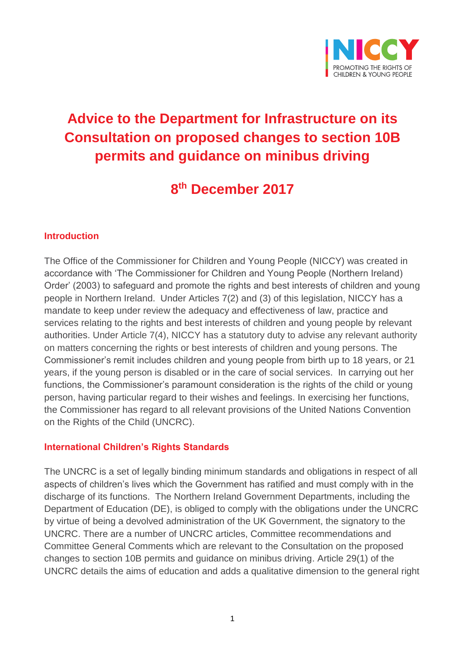

# **Advice to the Department for Infrastructure on its Consultation on proposed changes to section 10B permits and guidance on minibus driving**

## **8 th December 2017**

#### **Introduction**

The Office of the Commissioner for Children and Young People (NICCY) was created in accordance with 'The Commissioner for Children and Young People (Northern Ireland) Order' (2003) to safeguard and promote the rights and best interests of children and young people in Northern Ireland. Under Articles 7(2) and (3) of this legislation, NICCY has a mandate to keep under review the adequacy and effectiveness of law, practice and services relating to the rights and best interests of children and young people by relevant authorities. Under Article 7(4), NICCY has a statutory duty to advise any relevant authority on matters concerning the rights or best interests of children and young persons. The Commissioner's remit includes children and young people from birth up to 18 years, or 21 years, if the young person is disabled or in the care of social services. In carrying out her functions, the Commissioner's paramount consideration is the rights of the child or young person, having particular regard to their wishes and feelings. In exercising her functions, the Commissioner has regard to all relevant provisions of the United Nations Convention on the Rights of the Child (UNCRC).

#### **International Children's Rights Standards**

The UNCRC is a set of legally binding minimum standards and obligations in respect of all aspects of children's lives which the Government has ratified and must comply with in the discharge of its functions. The Northern Ireland Government Departments, including the Department of Education (DE), is obliged to comply with the obligations under the UNCRC by virtue of being a devolved administration of the UK Government, the signatory to the UNCRC. There are a number of UNCRC articles, Committee recommendations and Committee General Comments which are relevant to the Consultation on the proposed changes to section 10B permits and guidance on minibus driving. Article 29(1) of the UNCRC details the aims of education and adds a qualitative dimension to the general right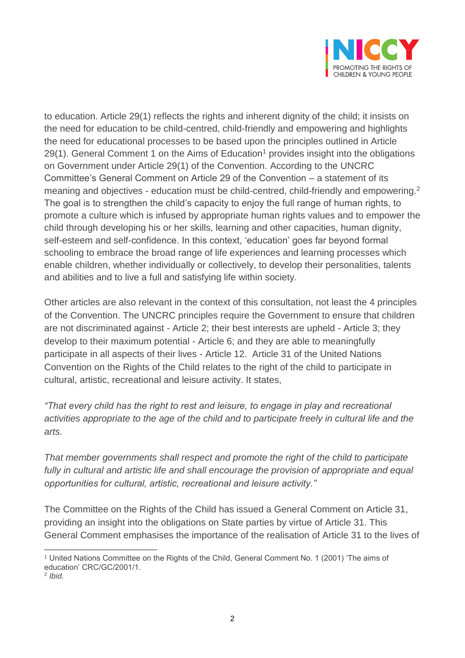

to education. Article 29(1) reflects the rights and inherent dignity of the child; it insists on the need for education to be child-centred, child-friendly and empowering and highlights the need for educational processes to be based upon the principles outlined in Article  $29(1)$ . General Comment 1 on the Aims of Education<sup>1</sup> provides insight into the obligations on Government under Article 29(1) of the Convention. According to the UNCRC Committee's General Comment on Article 29 of the Convention – a statement of its meaning and objectives - education must be child-centred, child-friendly and empowering.<sup>2</sup> The goal is to strengthen the child's capacity to enjoy the full range of human rights, to promote a culture which is infused by appropriate human rights values and to empower the child through developing his or her skills, learning and other capacities, human dignity, self-esteem and self-confidence. In this context, 'education' goes far beyond formal schooling to embrace the broad range of life experiences and learning processes which enable children, whether individually or collectively, to develop their personalities, talents and abilities and to live a full and satisfying life within society.

Other articles are also relevant in the context of this consultation, not least the 4 principles of the Convention. The UNCRC principles require the Government to ensure that children are not discriminated against - Article 2; their best interests are upheld - Article 3; they develop to their maximum potential - Article 6; and they are able to meaningfully participate in all aspects of their lives - Article 12. Article 31 of the United Nations Convention on the Rights of the Child relates to the right of the child to participate in cultural, artistic, recreational and leisure activity. It states,

*"That every child has the right to rest and leisure, to engage in play and recreational activities appropriate to the age of the child and to participate freely in cultural life and the arts.*

*That member governments shall respect and promote the right of the child to participate*  fully in cultural and artistic life and shall encourage the provision of appropriate and equal *opportunities for cultural, artistic, recreational and leisure activity."*

The Committee on the Rights of the Child has issued a General Comment on Article 31, providing an insight into the obligations on State parties by virtue of Article 31. This General Comment emphasises the importance of the realisation of Article 31 to the lives of

 $\overline{a}$ <sup>1</sup> United Nations Committee on the Rights of the Child, General Comment No. 1 (2001) 'The aims of education' CRC/GC/2001/1.

<sup>2</sup> *Ibid*.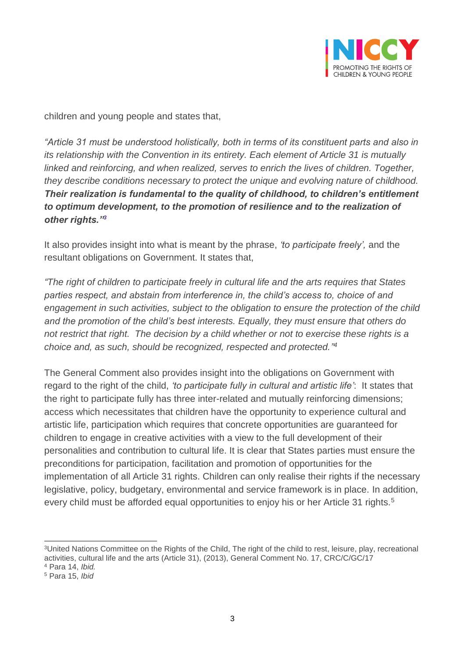

children and young people and states that,

*"Article 31 must be understood holistically, both in terms of its constituent parts and also in its relationship with the Convention in its entirety. Each element of Article 31 is mutually linked and reinforcing, and when realized, serves to enrich the lives of children. Together, they describe conditions necessary to protect the unique and evolving nature of childhood. Their realization is fundamental to the quality of childhood, to children's entitlement to optimum development, to the promotion of resilience and to the realization of other rights."<sup>3</sup>*

It also provides insight into what is meant by the phrase, *'to participate freely',* and the resultant obligations on Government. It states that,

*"The right of children to participate freely in cultural life and the arts requires that States parties respect, and abstain from interference in, the child's access to, choice of and engagement in such activities, subject to the obligation to ensure the protection of the child and the promotion of the child's best interests. Equally, they must ensure that others do not restrict that right. The decision by a child whether or not to exercise these rights is a choice and, as such, should be recognized, respected and protected." 4*

The General Comment also provides insight into the obligations on Government with regard to the right of the child, *'to participate fully in cultural and artistic life'*: It states that the right to participate fully has three inter-related and mutually reinforcing dimensions; access which necessitates that children have the opportunity to experience cultural and artistic life, participation which requires that concrete opportunities are guaranteed for children to engage in creative activities with a view to the full development of their personalities and contribution to cultural life. It is clear that States parties must ensure the preconditions for participation, facilitation and promotion of opportunities for the implementation of all Article 31 rights. Children can only realise their rights if the necessary legislative, policy, budgetary, environmental and service framework is in place. In addition, every child must be afforded equal opportunities to enjoy his or her Article 31 rights.<sup>5</sup>

 $\overline{a}$ <sup>3</sup>United Nations Committee on the Rights of the Child, The right of the child to rest, leisure, play, recreational activities, cultural life and the arts (Article 31), (2013), General Comment No. 17, CRC/C/GC/17

<sup>4</sup> Para 14, *Ibid.*

<sup>5</sup> Para 15, *Ibid*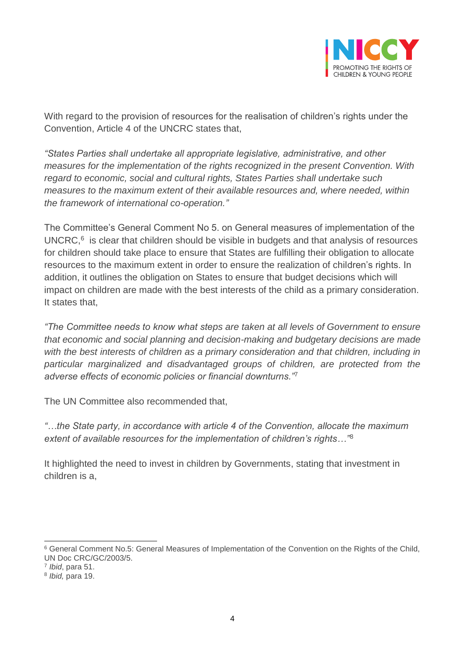

With regard to the provision of resources for the realisation of children's rights under the Convention, Article 4 of the UNCRC states that,

*"States Parties shall undertake all appropriate legislative, administrative, and other measures for the implementation of the rights recognized in the present Convention. With regard to economic, social and cultural rights, States Parties shall undertake such measures to the maximum extent of their available resources and, where needed, within the framework of international co-operation."*

The Committee's General Comment No 5. on General measures of implementation of the UNCRC, 6 is clear that children should be visible in budgets and that analysis of resources for children should take place to ensure that States are fulfilling their obligation to allocate resources to the maximum extent in order to ensure the realization of children's rights. In addition, it outlines the obligation on States to ensure that budget decisions which will impact on children are made with the best interests of the child as a primary consideration. It states that,

*"The Committee needs to know what steps are taken at all levels of Government to ensure that economic and social planning and decision-making and budgetary decisions are made with the best interests of children as a primary consideration and that children, including in particular marginalized and disadvantaged groups of children, are protected from the adverse effects of economic policies or financial downturns."*<sup>7</sup>

The UN Committee also recommended that,

*"…the State party, in accordance with article 4 of the Convention, allocate the maximum extent of available resources for the implementation of children's rights…"*<sup>8</sup>

It highlighted the need to invest in children by Governments, stating that investment in children is a,

 $\overline{a}$ 

<sup>6</sup> General Comment No.5: General Measures of Implementation of the Convention on the Rights of the Child, UN Doc CRC/GC/2003/5.

<sup>7</sup> *Ibid*, para 51.

<sup>8</sup> *Ibid,* para 19.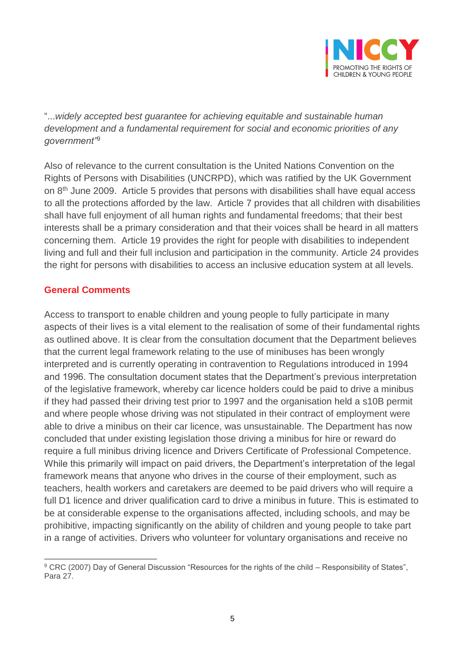

"...*widely accepted best guarantee for achieving equitable and sustainable human development and a fundamental requirement for social and economic priorities of any government"*<sup>9</sup>

Also of relevance to the current consultation is the United Nations Convention on the Rights of Persons with Disabilities (UNCRPD), which was ratified by the UK Government on  $8<sup>th</sup>$  June 2009. Article 5 provides that persons with disabilities shall have equal access to all the protections afforded by the law. Article 7 provides that all children with disabilities shall have full enjoyment of all human rights and fundamental freedoms; that their best interests shall be a primary consideration and that their voices shall be heard in all matters concerning them. Article 19 provides the right for people with disabilities to independent living and full and their full inclusion and participation in the community. Article 24 provides the right for persons with disabilities to access an inclusive education system at all levels.

## **General Comments**

Access to transport to enable children and young people to fully participate in many aspects of their lives is a vital element to the realisation of some of their fundamental rights as outlined above. It is clear from the consultation document that the Department believes that the current legal framework relating to the use of minibuses has been wrongly interpreted and is currently operating in contravention to Regulations introduced in 1994 and 1996. The consultation document states that the Department's previous interpretation of the legislative framework, whereby car licence holders could be paid to drive a minibus if they had passed their driving test prior to 1997 and the organisation held a s10B permit and where people whose driving was not stipulated in their contract of employment were able to drive a minibus on their car licence, was unsustainable. The Department has now concluded that under existing legislation those driving a minibus for hire or reward do require a full minibus driving licence and Drivers Certificate of Professional Competence. While this primarily will impact on paid drivers, the Department's interpretation of the legal framework means that anyone who drives in the course of their employment, such as teachers, health workers and caretakers are deemed to be paid drivers who will require a full D1 licence and driver qualification card to drive a minibus in future. This is estimated to be at considerable expense to the organisations affected, including schools, and may be prohibitive, impacting significantly on the ability of children and young people to take part in a range of activities. Drivers who volunteer for voluntary organisations and receive no

 $\overline{a}$ <sup>9</sup> CRC (2007) Day of General Discussion "Resources for the rights of the child – Responsibility of States", Para 27.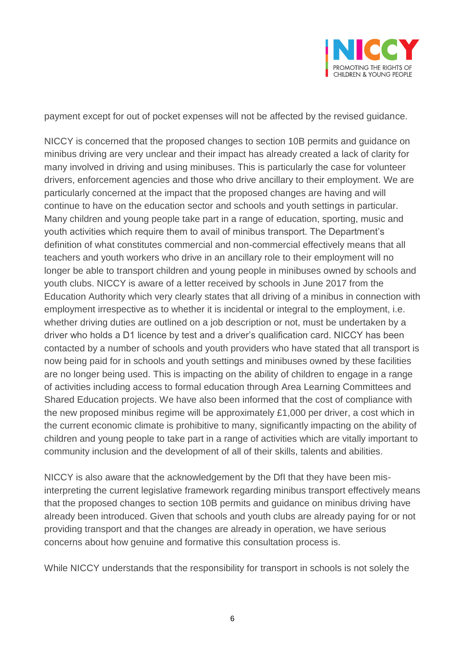

payment except for out of pocket expenses will not be affected by the revised guidance.

NICCY is concerned that the proposed changes to section 10B permits and guidance on minibus driving are very unclear and their impact has already created a lack of clarity for many involved in driving and using minibuses. This is particularly the case for volunteer drivers, enforcement agencies and those who drive ancillary to their employment. We are particularly concerned at the impact that the proposed changes are having and will continue to have on the education sector and schools and youth settings in particular. Many children and young people take part in a range of education, sporting, music and youth activities which require them to avail of minibus transport. The Department's definition of what constitutes commercial and non-commercial effectively means that all teachers and youth workers who drive in an ancillary role to their employment will no longer be able to transport children and young people in minibuses owned by schools and youth clubs. NICCY is aware of a letter received by schools in June 2017 from the Education Authority which very clearly states that all driving of a minibus in connection with employment irrespective as to whether it is incidental or integral to the employment, i.e. whether driving duties are outlined on a job description or not, must be undertaken by a driver who holds a D1 licence by test and a driver's qualification card. NICCY has been contacted by a number of schools and youth providers who have stated that all transport is now being paid for in schools and youth settings and minibuses owned by these facilities are no longer being used. This is impacting on the ability of children to engage in a range of activities including access to formal education through Area Learning Committees and Shared Education projects. We have also been informed that the cost of compliance with the new proposed minibus regime will be approximately £1,000 per driver, a cost which in the current economic climate is prohibitive to many, significantly impacting on the ability of children and young people to take part in a range of activities which are vitally important to community inclusion and the development of all of their skills, talents and abilities.

NICCY is also aware that the acknowledgement by the DfI that they have been misinterpreting the current legislative framework regarding minibus transport effectively means that the proposed changes to section 10B permits and guidance on minibus driving have already been introduced. Given that schools and youth clubs are already paying for or not providing transport and that the changes are already in operation, we have serious concerns about how genuine and formative this consultation process is.

While NICCY understands that the responsibility for transport in schools is not solely the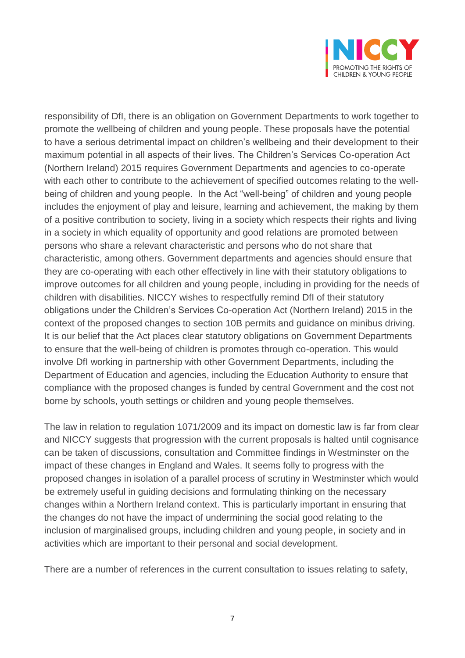

responsibility of DfI, there is an obligation on Government Departments to work together to promote the wellbeing of children and young people. These proposals have the potential to have a serious detrimental impact on children's wellbeing and their development to their maximum potential in all aspects of their lives. The Children's Services Co-operation Act (Northern Ireland) 2015 requires Government Departments and agencies to co-operate with each other to contribute to the achievement of specified outcomes relating to the wellbeing of children and young people. In the Act "well-being" of children and young people includes the enjoyment of play and leisure, learning and achievement, the making by them of a positive contribution to society, living in a society which respects their rights and living in a society in which equality of opportunity and good relations are promoted between persons who share a relevant characteristic and persons who do not share that characteristic, among others. Government departments and agencies should ensure that they are co-operating with each other effectively in line with their statutory obligations to improve outcomes for all children and young people, including in providing for the needs of children with disabilities. NICCY wishes to respectfully remind DfI of their statutory obligations under the Children's Services Co-operation Act (Northern Ireland) 2015 in the context of the proposed changes to section 10B permits and guidance on minibus driving. It is our belief that the Act places clear statutory obligations on Government Departments to ensure that the well-being of children is promotes through co-operation. This would involve DfI working in partnership with other Government Departments, including the Department of Education and agencies, including the Education Authority to ensure that compliance with the proposed changes is funded by central Government and the cost not borne by schools, youth settings or children and young people themselves.

The law in relation to regulation 1071/2009 and its impact on domestic law is far from clear and NICCY suggests that progression with the current proposals is halted until cognisance can be taken of discussions, consultation and Committee findings in Westminster on the impact of these changes in England and Wales. It seems folly to progress with the proposed changes in isolation of a parallel process of scrutiny in Westminster which would be extremely useful in guiding decisions and formulating thinking on the necessary changes within a Northern Ireland context. This is particularly important in ensuring that the changes do not have the impact of undermining the social good relating to the inclusion of marginalised groups, including children and young people, in society and in activities which are important to their personal and social development.

There are a number of references in the current consultation to issues relating to safety,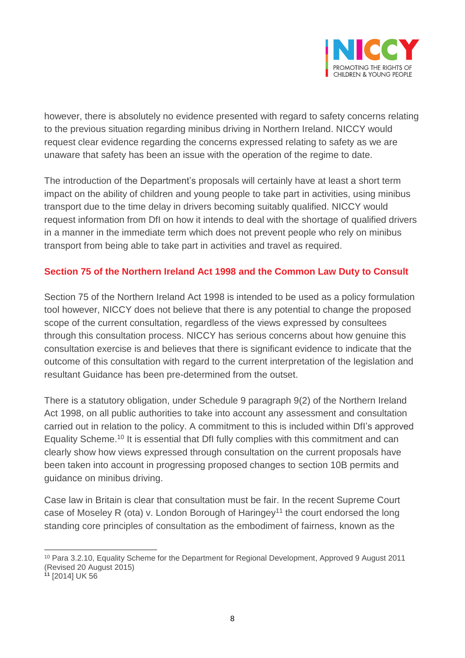

however, there is absolutely no evidence presented with regard to safety concerns relating to the previous situation regarding minibus driving in Northern Ireland. NICCY would request clear evidence regarding the concerns expressed relating to safety as we are unaware that safety has been an issue with the operation of the regime to date.

The introduction of the Department's proposals will certainly have at least a short term impact on the ability of children and young people to take part in activities, using minibus transport due to the time delay in drivers becoming suitably qualified. NICCY would request information from DfI on how it intends to deal with the shortage of qualified drivers in a manner in the immediate term which does not prevent people who rely on minibus transport from being able to take part in activities and travel as required.

## **Section 75 of the Northern Ireland Act 1998 and the Common Law Duty to Consult**

Section 75 of the Northern Ireland Act 1998 is intended to be used as a policy formulation tool however, NICCY does not believe that there is any potential to change the proposed scope of the current consultation, regardless of the views expressed by consultees through this consultation process. NICCY has serious concerns about how genuine this consultation exercise is and believes that there is significant evidence to indicate that the outcome of this consultation with regard to the current interpretation of the legislation and resultant Guidance has been pre-determined from the outset.

There is a statutory obligation, under Schedule 9 paragraph 9(2) of the Northern Ireland Act 1998, on all public authorities to take into account any assessment and consultation carried out in relation to the policy. A commitment to this is included within DfI's approved Equality Scheme.<sup>10</sup> It is essential that DfI fully complies with this commitment and can clearly show how views expressed through consultation on the current proposals have been taken into account in progressing proposed changes to section 10B permits and guidance on minibus driving.

Case law in Britain is clear that consultation must be fair. In the recent Supreme Court case of Moseley R (ota) v. London Borough of Haringey<sup>11</sup> the court endorsed the long standing core principles of consultation as the embodiment of fairness, known as the

 $\overline{a}$ <sup>10</sup> Para 3.2.10, Equality Scheme for the Department for Regional Development, Approved 9 August 2011 (Revised 20 August 2015)

**<sup>11</sup>** [2014] UK 56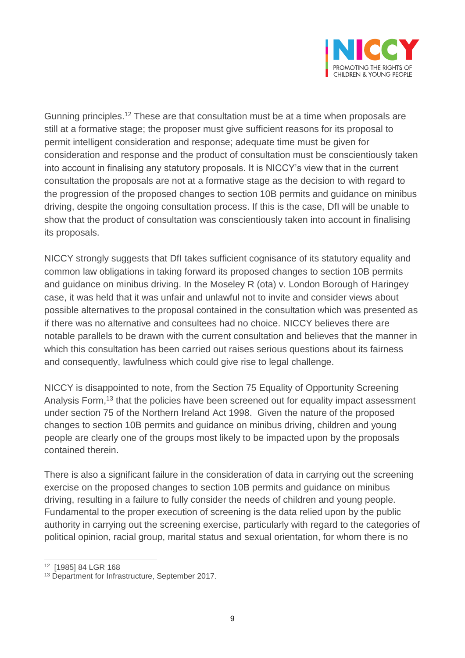

Gunning principles.<sup>12</sup> These are that consultation must be at a time when proposals are still at a formative stage; the proposer must give sufficient reasons for its proposal to permit intelligent consideration and response; adequate time must be given for consideration and response and the product of consultation must be conscientiously taken into account in finalising any statutory proposals. It is NICCY's view that in the current consultation the proposals are not at a formative stage as the decision to with regard to the progression of the proposed changes to section 10B permits and guidance on minibus driving, despite the ongoing consultation process. If this is the case, DfI will be unable to show that the product of consultation was conscientiously taken into account in finalising its proposals.

NICCY strongly suggests that DfI takes sufficient cognisance of its statutory equality and common law obligations in taking forward its proposed changes to section 10B permits and guidance on minibus driving. In the Moseley R (ota) v. London Borough of Haringey case, it was held that it was unfair and unlawful not to invite and consider views about possible alternatives to the proposal contained in the consultation which was presented as if there was no alternative and consultees had no choice. NICCY believes there are notable parallels to be drawn with the current consultation and believes that the manner in which this consultation has been carried out raises serious questions about its fairness and consequently, lawfulness which could give rise to legal challenge.

NICCY is disappointed to note, from the Section 75 Equality of Opportunity Screening Analysis Form,<sup>13</sup> that the policies have been screened out for equality impact assessment under section 75 of the Northern Ireland Act 1998. Given the nature of the proposed changes to section 10B permits and guidance on minibus driving, children and young people are clearly one of the groups most likely to be impacted upon by the proposals contained therein.

There is also a significant failure in the consideration of data in carrying out the screening exercise on the proposed changes to section 10B permits and guidance on minibus driving, resulting in a failure to fully consider the needs of children and young people. Fundamental to the proper execution of screening is the data relied upon by the public authority in carrying out the screening exercise, particularly with regard to the categories of political opinion, racial group, marital status and sexual orientation, for whom there is no

 $\overline{a}$ 

<sup>12</sup> [1985] 84 LGR 168

<sup>13</sup> Department for Infrastructure, September 2017.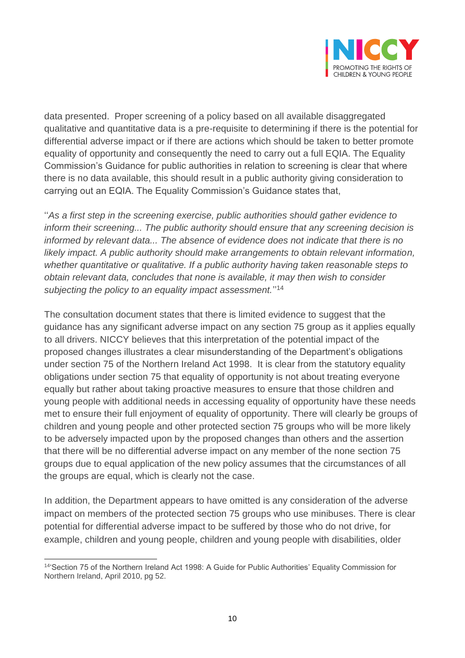

data presented. Proper screening of a policy based on all available disaggregated qualitative and quantitative data is a pre-requisite to determining if there is the potential for differential adverse impact or if there are actions which should be taken to better promote equality of opportunity and consequently the need to carry out a full EQIA. The Equality Commission's Guidance for public authorities in relation to screening is clear that where there is no data available, this should result in a public authority giving consideration to carrying out an EQIA. The Equality Commission's Guidance states that,

''*As a first step in the screening exercise, public authorities should gather evidence to inform their screening... The public authority should ensure that any screening decision is informed by relevant data... The absence of evidence does not indicate that there is no likely impact. A public authority should make arrangements to obtain relevant information, whether quantitative or qualitative. If a public authority having taken reasonable steps to obtain relevant data, concludes that none is available, it may then wish to consider*  subjecting the policy to an equality impact assessment."<sup>14</sup>

The consultation document states that there is limited evidence to suggest that the guidance has any significant adverse impact on any section 75 group as it applies equally to all drivers. NICCY believes that this interpretation of the potential impact of the proposed changes illustrates a clear misunderstanding of the Department's obligations under section 75 of the Northern Ireland Act 1998. It is clear from the statutory equality obligations under section 75 that equality of opportunity is not about treating everyone equally but rather about taking proactive measures to ensure that those children and young people with additional needs in accessing equality of opportunity have these needs met to ensure their full enjoyment of equality of opportunity. There will clearly be groups of children and young people and other protected section 75 groups who will be more likely to be adversely impacted upon by the proposed changes than others and the assertion that there will be no differential adverse impact on any member of the none section 75 groups due to equal application of the new policy assumes that the circumstances of all the groups are equal, which is clearly not the case.

In addition, the Department appears to have omitted is any consideration of the adverse impact on members of the protected section 75 groups who use minibuses. There is clear potential for differential adverse impact to be suffered by those who do not drive, for example, children and young people, children and young people with disabilities, older

 $\overline{a}$ <sup>14</sup>'Section 75 of the Northern Ireland Act 1998: A Guide for Public Authorities' Equality Commission for Northern Ireland, April 2010, pg 52.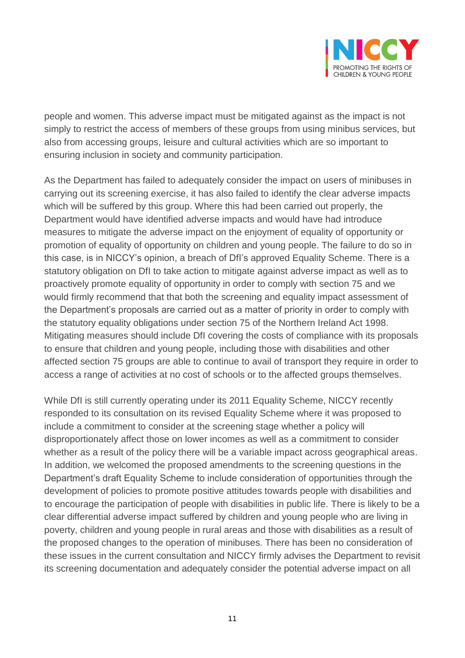

people and women. This adverse impact must be mitigated against as the impact is not simply to restrict the access of members of these groups from using minibus services, but also from accessing groups, leisure and cultural activities which are so important to ensuring inclusion in society and community participation.

As the Department has failed to adequately consider the impact on users of minibuses in carrying out its screening exercise, it has also failed to identify the clear adverse impacts which will be suffered by this group. Where this had been carried out properly, the Department would have identified adverse impacts and would have had introduce measures to mitigate the adverse impact on the enjoyment of equality of opportunity or promotion of equality of opportunity on children and young people. The failure to do so in this case, is in NICCY's opinion, a breach of DfI's approved Equality Scheme. There is a statutory obligation on DfI to take action to mitigate against adverse impact as well as to proactively promote equality of opportunity in order to comply with section 75 and we would firmly recommend that that both the screening and equality impact assessment of the Department's proposals are carried out as a matter of priority in order to comply with the statutory equality obligations under section 75 of the Northern Ireland Act 1998. Mitigating measures should include DfI covering the costs of compliance with its proposals to ensure that children and young people, including those with disabilities and other affected section 75 groups are able to continue to avail of transport they require in order to access a range of activities at no cost of schools or to the affected groups themselves.

While DfI is still currently operating under its 2011 Equality Scheme, NICCY recently responded to its consultation on its revised Equality Scheme where it was proposed to include a commitment to consider at the screening stage whether a policy will disproportionately affect those on lower incomes as well as a commitment to consider whether as a result of the policy there will be a variable impact across geographical areas. In addition, we welcomed the proposed amendments to the screening questions in the Department's draft Equality Scheme to include consideration of opportunities through the development of policies to promote positive attitudes towards people with disabilities and to encourage the participation of people with disabilities in public life. There is likely to be a clear differential adverse impact suffered by children and young people who are living in poverty, children and young people in rural areas and those with disabilities as a result of the proposed changes to the operation of minibuses. There has been no consideration of these issues in the current consultation and NICCY firmly advises the Department to revisit its screening documentation and adequately consider the potential adverse impact on all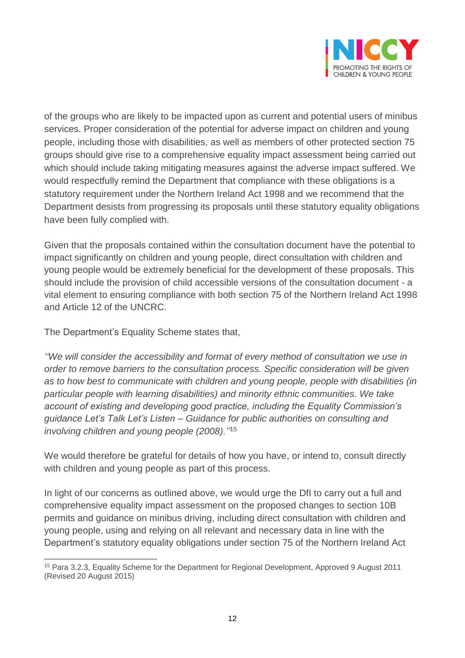

of the groups who are likely to be impacted upon as current and potential users of minibus services. Proper consideration of the potential for adverse impact on children and young people, including those with disabilities, as well as members of other protected section 75 groups should give rise to a comprehensive equality impact assessment being carried out which should include taking mitigating measures against the adverse impact suffered. We would respectfully remind the Department that compliance with these obligations is a statutory requirement under the Northern Ireland Act 1998 and we recommend that the Department desists from progressing its proposals until these statutory equality obligations have been fully complied with.

Given that the proposals contained within the consultation document have the potential to impact significantly on children and young people, direct consultation with children and young people would be extremely beneficial for the development of these proposals. This should include the provision of child accessible versions of the consultation document - a vital element to ensuring compliance with both section 75 of the Northern Ireland Act 1998 and Article 12 of the UNCRC.

The Department's Equality Scheme states that,

*''We will consider the accessibility and format of every method of consultation we use in order to remove barriers to the consultation process. Specific consideration will be given as to how best to communicate with children and young people, people with disabilities (in particular people with learning disabilities) and minority ethnic communities. We take account of existing and developing good practice, including the Equality Commission's guidance Let's Talk Let's Listen – Guidance for public authorities on consulting and involving children and young people (2008).''* 15

We would therefore be grateful for details of how you have, or intend to, consult directly with children and young people as part of this process.

In light of our concerns as outlined above, we would urge the DfI to carry out a full and comprehensive equality impact assessment on the proposed changes to section 10B permits and guidance on minibus driving, including direct consultation with children and young people, using and relying on all relevant and necessary data in line with the Department's statutory equality obligations under section 75 of the Northern Ireland Act

 $\overline{a}$ <sup>15</sup> Para 3.2.3, Equality Scheme for the Department for Regional Development, Approved 9 August 2011 (Revised 20 August 2015)